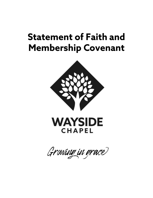## **Statement of Faith and Membership Covenant**





Growing in grace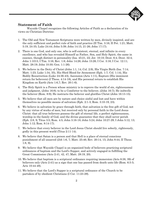

## **Statement of Faith**

Wayside Chapel recognizes the following Articles of Faith as a declaration of its views on Christian Doctrine:

- 1. The Old and New Testament Scriptures were written by men, divinely inspired, and are the only sufficient and perfect rule of faith and practice (II Tim. 3:16; II Pet. 1:21; Matt. 5:19, 24-35; Luke 24:44; John 5:39; John 14:15, 21-26; John 17:17).
- 2. There is one God, and only one, who is self-existent, eternal, and infinite in every excellence, and who has revealed Himself as Father, Son, and Holy Spirit, the same in essence, though distinct in personality (Isa. 45:21, 22; Jer. 10:10; Deut. 6:4; Deut. 32:4; John 1:1013; I Tim. 3:16; Rev. 1:8; John 14:26; John 15:26; I Cor. 3:16; I Cor. 12:11; Matt. 28:19; John 10:30; Gen. 1:1-26).
- 3. We believe in the Deity of Christ (John 1:1, 14; Col. 2:9), His Virgin Birth (Isa. 7:14; Matt. 1:23; Luke 1:34, 35), His Shed Blood for Atonement (Eph. 1:7; Col. 1:14), His Bodily Resurrection (Luke 24:36-43), Ascension (Acts 1:11), Rapture (His imminent return for believers) (I Thess. 4:14-18), and His personal return to establish His Kingdom on Earth (Acts 1:6,7; Rev. 20:1-6).
- 4. The Holy Spirit is a Person whose ministry is to reprove the world of sin, righteousness and judgment, (John 16:8); to be a Comforter to the believer, (John 16:7); He indwells the believer (Rom. 8:9); He instructs the believer and glorifies Christ (John 16:13-15).
- 5. We believe that all men are by nature and choice sinful and lost and have within themselves no possible means of salvation (Eph. 2:1-3; Rom. 3:10-19, 23).
- 6. We believe in salvation by grace through faith, that salvation is the free gift of God, not by any virtue of works of men, but received only by personal faith in the Lord Jesus Christ: that all true believers possess the gift of eternal life, a perfect righteousness, worship in the family of God, and the divine guarantee that they shall never perish (Eph. 2:8, 9; Titus 3:5; Rom. 4:5; John 3:16-18; John 5:24; John 10:27-29; I John 5:12, 13; John 1:12; Rom. 8:14-17).
- 7. We believe that every believer in the Lord Jesus Christ should live soberly, righteously, godly in this present world (Titus 2:11-14).
- 8. We believe that Satan is a person and that Hell is a place of eternal conscious punishment of all unsaved (Job 1:6, 7; Matt. 25:46; Rev. 20:14, 15; John 8:44; II Thess. 1:8, 9).
- 9. We believe that Wayside Chapel is an organized body of believers practicing scriptural ordinances of baptism and the Lord's Supper, and actively engaged in fulfilling the Great Commission (Acts 2:41, 42, 47; Matt. 28:19, 20).
- 10. We believe that baptism is a scriptural ordinance requiring immersion (Acts 8:38, 39) of believers only (Acts 2:41) as a sign that one has passed from death unto life (Rom. 6:3-5; Acts 10:44-48).
- 11. We believe that the Lord's Supper is a scriptural ordinance of the Church to be partaken of by obedient Christians (I Cor. 11:23-29).